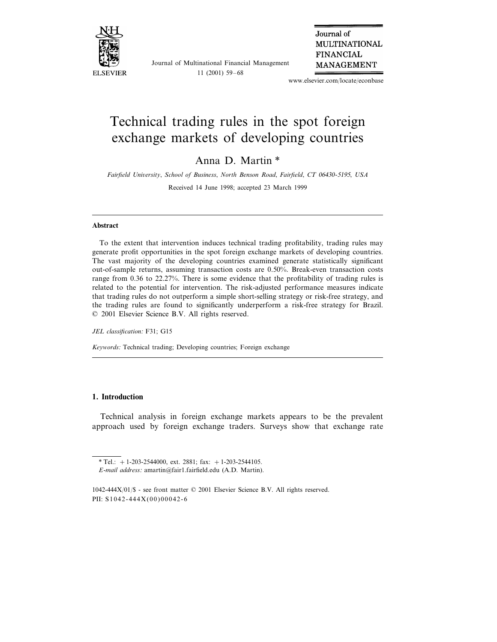

Journal of Multinational Financial Management 11 (2001) 59–68

Journal of **MULTINATIONAL FINANCIAL MANAGEMENT** 

www.elsevier.com/locate/econbase

## Technical trading rules in the spot foreign exchange markets of developing countries

Anna D. Martin \*

*Fairfield Uni*6*ersity*, *School of Business*, *North Benson Road*, *Fairfield*, *CT* <sup>06430</sup>-5195, *USA*

Received 14 June 1998; accepted 23 March 1999

## **Abstract**

To the extent that intervention induces technical trading profitability, trading rules may generate profit opportunities in the spot foreign exchange markets of developing countries. The vast majority of the developing countries examined generate statistically significant out-of-sample returns, assuming transaction costs are 0.50%. Break-even transaction costs range from 0.36 to 22.27%. There is some evidence that the profitability of trading rules is related to the potential for intervention. The risk-adjusted performance measures indicate that trading rules do not outperform a simple short-selling strategy or risk-free strategy, and the trading rules are found to significantly underperform a risk-free strategy for Brazil. © 2001 Elsevier Science B.V. All rights reserved.

*JEL classification*: F31; G15

*Keywords*: Technical trading; Developing countries; Foreign exchange

## **1. Introduction**

Technical analysis in foreign exchange markets appears to be the prevalent approach used by foreign exchange traders. Surveys show that exchange rate

<sup>\*</sup> Tel.:  $+1-203-2544000$ , ext. 2881; fax:  $+1-203-2544105$ . *E*-*mail address*: amartin@fair1.fairfield.edu (A.D. Martin).

<sup>1042-444</sup>X/01/\$ - see front matter © 2001 Elsevier Science B.V. All rights reserved. PII: S1042-444X(00)00042-6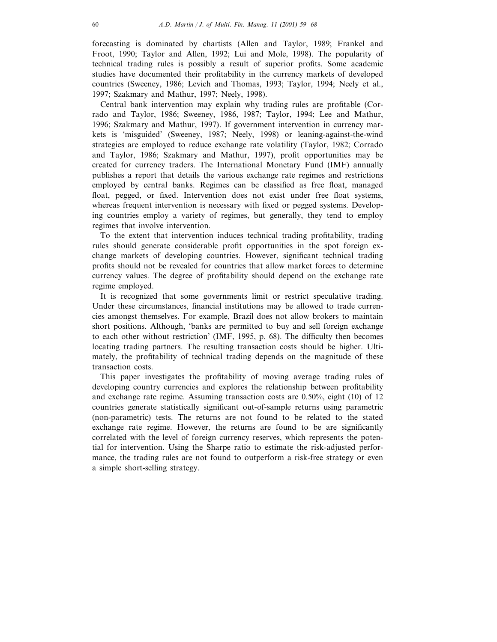forecasting is dominated by chartists (Allen and Taylor, 1989; Frankel and Froot, 1990; Taylor and Allen, 1992; Lui and Mole, 1998). The popularity of technical trading rules is possibly a result of superior profits. Some academic studies have documented their profitability in the currency markets of developed countries (Sweeney, 1986; Levich and Thomas, 1993; Taylor, 1994; Neely et al., 1997; Szakmary and Mathur, 1997; Neely, 1998).

Central bank intervention may explain why trading rules are profitable (Corrado and Taylor, 1986; Sweeney, 1986, 1987; Taylor, 1994; Lee and Mathur, 1996; Szakmary and Mathur, 1997). If government intervention in currency markets is 'misguided' (Sweeney, 1987; Neely, 1998) or leaning-against-the-wind strategies are employed to reduce exchange rate volatility (Taylor, 1982; Corrado and Taylor, 1986; Szakmary and Mathur, 1997), profit opportunities may be created for currency traders. The International Monetary Fund (IMF) annually publishes a report that details the various exchange rate regimes and restrictions employed by central banks. Regimes can be classified as free float, managed float, pegged, or fixed. Intervention does not exist under free float systems, whereas frequent intervention is necessary with fixed or pegged systems. Developing countries employ a variety of regimes, but generally, they tend to employ regimes that involve intervention.

To the extent that intervention induces technical trading profitability, trading rules should generate considerable profit opportunities in the spot foreign exchange markets of developing countries. However, significant technical trading profits should not be revealed for countries that allow market forces to determine currency values. The degree of profitability should depend on the exchange rate regime employed.

It is recognized that some governments limit or restrict speculative trading. Under these circumstances, financial institutions may be allowed to trade currencies amongst themselves. For example, Brazil does not allow brokers to maintain short positions. Although, 'banks are permitted to buy and sell foreign exchange to each other without restriction' (IMF, 1995, p. 68). The difficulty then becomes locating trading partners. The resulting transaction costs should be higher. Ultimately, the profitability of technical trading depends on the magnitude of these transaction costs.

This paper investigates the profitability of moving average trading rules of developing country currencies and explores the relationship between profitability and exchange rate regime. Assuming transaction costs are 0.50%, eight (10) of 12 countries generate statistically significant out-of-sample returns using parametric (non-parametric) tests. The returns are not found to be related to the stated exchange rate regime. However, the returns are found to be are significantly correlated with the level of foreign currency reserves, which represents the potential for intervention. Using the Sharpe ratio to estimate the risk-adjusted performance, the trading rules are not found to outperform a risk-free strategy or even a simple short-selling strategy.